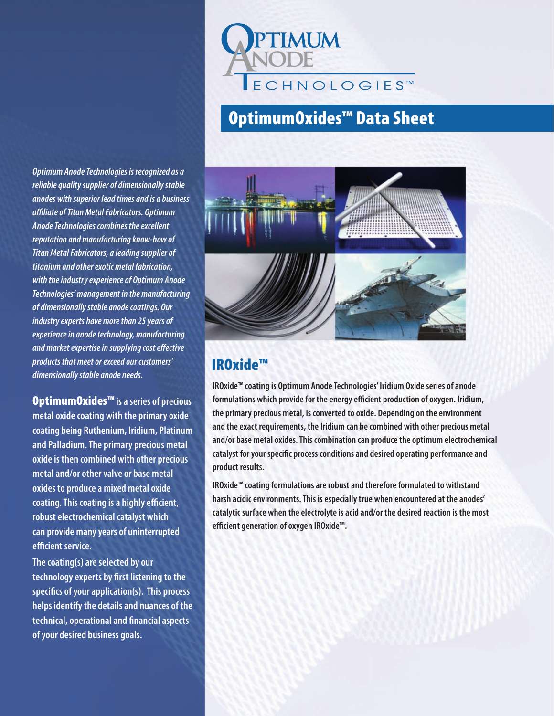

# OptimumOxides™ Data Sheet

*Optimum Anode Technologies is recognized as a reliable quality supplier of dimensionally stable anodes with superior lead times and is a business affiliate of Titan Metal Fabricators. Optimum Anode Technologies combines the excellent reputation and manufacturing know-how of Titan Metal Fabricators, a leading supplier of titanium and other exotic metal fabrication, with the industry experience of Optimum Anode Technologies' management in the manufacturing of dimensionally stable anode coatings. Our industry experts have more than 25 years of experience in anode technology, manufacturing and market expertise in supplying cost effective products that meet or exceed our customers' dimensionally stable anode needs.*

OptimumOxides™ **is a series of precious metal oxide coating with the primary oxide coating being Ruthenium, Iridium, Platinum and Palladium. The primary precious metal oxide is then combined with other precious metal and/or other valve or base metal oxides to produce a mixed metal oxide coating. This coating is a highly efficient, robust electrochemical catalyst which can provide many years of uninterrupted efficient service.**

**The coating(s) are selected by our technology experts by first listening to the specifics of your application(s). This process helps identify the details and nuances of the technical, operational and financial aspects of your desired business goals.**



#### IROxide™

**IROxide™ coating is Optimum Anode Technologies' Iridium Oxide series of anode formulations which provide for the energy efficient production of oxygen. Iridium, the primary precious metal, is converted to oxide. Depending on the environment and the exact requirements, the Iridium can be combined with other precious metal and/or base metal oxides. This combination can produce the optimum electrochemical catalyst for your specific process conditions and desired operating performance and product results.**

**IROxide™ coating formulations are robust and therefore formulated to withstand harsh acidic environments. This is especially true when encountered at the anodes' catalytic surface when the electrolyte is acid and/or the desired reaction is the most efficient generation of oxygen IROxide™.**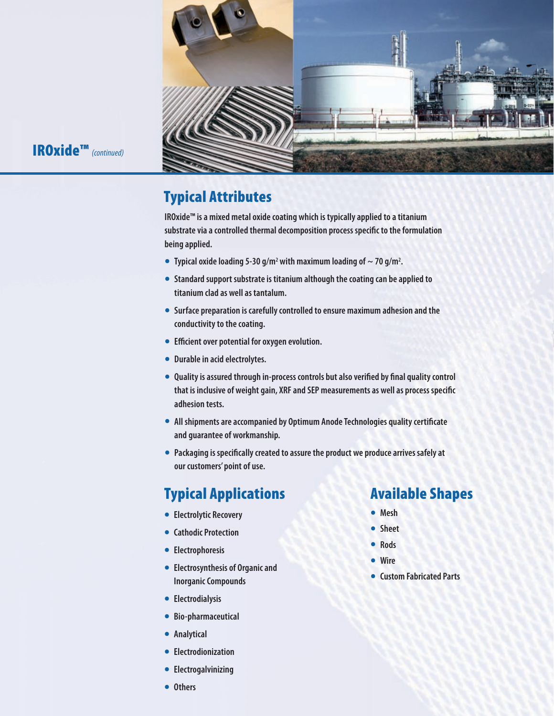

#### IROxide™ *(continued)*

## Typical Attributes

**IROxide™ is a mixed metal oxide coating which is typically applied to a titanium substrate via a controlled thermal decomposition process specific to the formulation being applied.**

- Typical oxide loading 5-30 g/m<sup>2</sup> with maximum loading of  $\sim$  70 g/m<sup>2</sup>.
- **• Standard support substrate is titanium although the coating can be applied to titanium clad as well as tantalum.**
- **• Surface preparation is carefully controlled to ensure maximum adhesion and the conductivity to the coating.**
- **• Efficient over potential for oxygen evolution.**
- **• Durable in acid electrolytes.**
- **• Quality is assured through in-process controls but also verified by final quality control that is inclusive of weight gain, XRF and SEP measurements as well as process specific adhesion tests.**
- **• All shipments are accompanied by Optimum Anode Technologies quality certificate and guarantee of workmanship.**
- **• Packaging is specifically created to assure the product we produce arrives safely at our customers' point of use.**

## Typical Applications

- **• Electrolytic Recovery**
- **• Cathodic Protection**
- **• Electrophoresis**
- **• Electrosynthesis of Organic and Inorganic Compounds**
- **• Electrodialysis**
- **• Bio-pharmaceutical**
- **• Analytical**
- **• Electrodionization**
- **• Electrogalvinizing**
- **• Others**

#### Available Shapes

- **• Mesh**
- **• Sheet**
- **• Rods**
- **• Wire**
- **• Custom Fabricated Parts**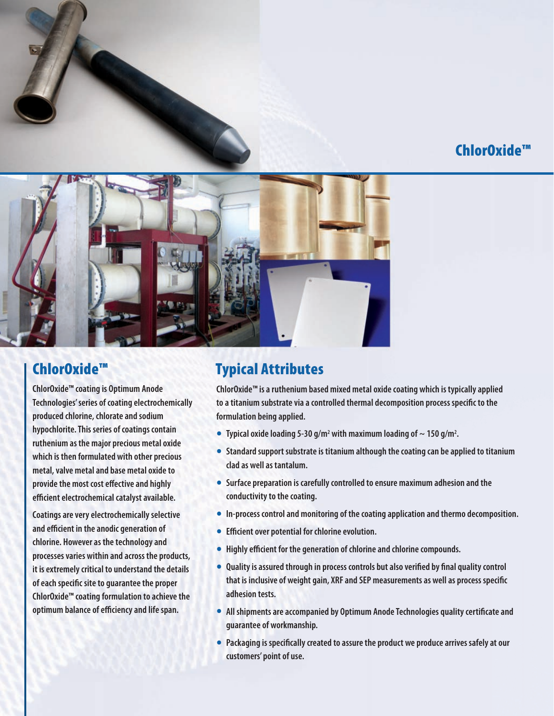### ChlorOxide™



#### ChlorOxide™

**ChlorOxide™ coating is Optimum Anode Technologies' series of coating electrochemically produced chlorine, chlorate and sodium hypochlorite. This series of coatings contain ruthenium as the major precious metal oxide which is then formulated with other precious metal, valve metal and base metal oxide to provide the most cost effective and highly efficient electrochemical catalyst available.**

**Coatings are very electrochemically selective and efficient in the anodic generation of chlorine. However as the technology and processes varies within and across the products, it is extremely critical to understand the details of each specific site to guarantee the proper ChlorOxide™ coating formulation to achieve the optimum balance of efficiency and life span.**

## Typical Attributes

**ChlorOxide™ is a ruthenium based mixed metal oxide coating which is typically applied to a titanium substrate via a controlled thermal decomposition process specific to the formulation being applied.**

- **Typical oxide loading 5-30 g/m<sup>2</sup> with maximum loading of**  $\sim$  **150 g/m<sup>2</sup>.**
- **• Standard support substrate is titanium although the coating can be applied to titanium clad as well as tantalum.**
- **• Surface preparation is carefully controlled to ensure maximum adhesion and the conductivity to the coating.**
- **• In-process control and monitoring of the coating application and thermo decomposition.**
- **• Efficient over potential for chlorine evolution.**
- **• Highly efficient for the generation of chlorine and chlorine compounds.**
- **• Quality is assured through in process controls but also verified by final quality control that is inclusive of weight gain, XRF and SEP measurements as well as process specific adhesion tests.**
- **• All shipments are accompanied by Optimum Anode Technologies quality certificate and guarantee of workmanship.**
- **• Packaging is specifically created to assure the product we produce arrives safely at our customers' point of use.**